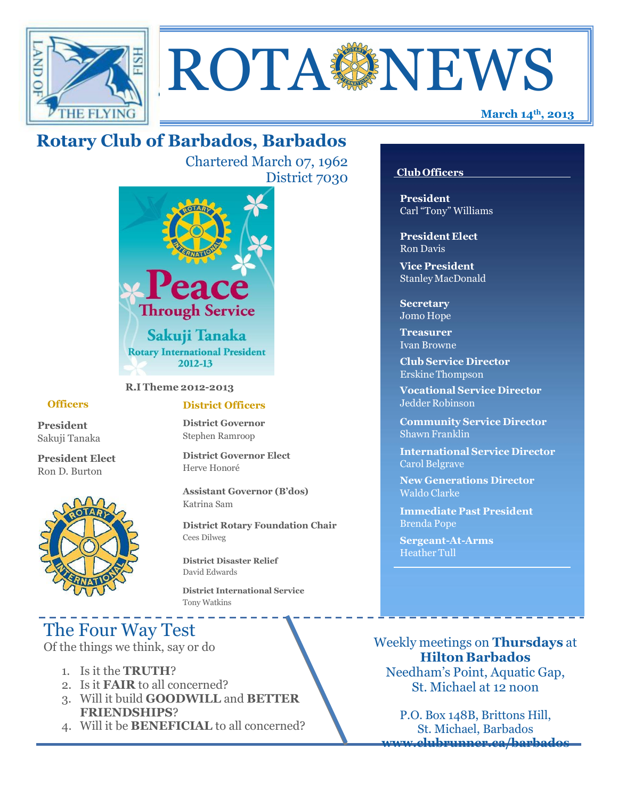



## **Rotary Club of Barbados, Barbados**

Chartered March 07, 1962 District 7030



**R.I Theme 2012-2013**

#### **Officers**

**President** Sakuji Tanaka

**President Elect** Ron D. Burton



#### **District Officers**

**District Governor** Stephen Ramroop

**District Governor Elect** Herve Honoré

**Assistant Governor (B'dos)** Katrina Sam

**District Rotary Foundation Chair** Cees Dilweg

**District Disaster Relief**  David Edwards

 **District International Service** Tony Watkins

# The Four Way Test

Of the things we think, say or do

- 1. Is it the **TRUTH**?
- 2. Is it **FAIR** to all concerned?
- 3. Will it build **GOODWILL** and **BETTER FRIENDSHIPS**?
- 4. Will it be **BENEFICIAL** to all concerned?

#### **Club Officers**

**President** Carl "Tony" Williams

**President Elect** Ron Davis

**Vice President** StanleyMacDonald

**Secretary** Jomo Hope

**Treasurer** Ivan Browne

**Club Service Director** Erskine Thompson

**Vocational Service Director** Jedder Robinson

**Community Service Director** Shawn Franklin

**International Service Director** Carol Belgrave

**New Generations Director** Waldo Clarke

**Immediate Past President** Brenda Pope

**Sergeant-At-Arms** Heather Tull

Weekly meetings on **Thursdays** at **Hilton Barbados** Needham's Point, Aquatic Gap, St. Michael at 12 noon

P.O. Box 148B, Brittons Hill, St. Michael, Barbados **[www.clubrunner.ca/barbados](http://www.clubrunner.ca/barbados)**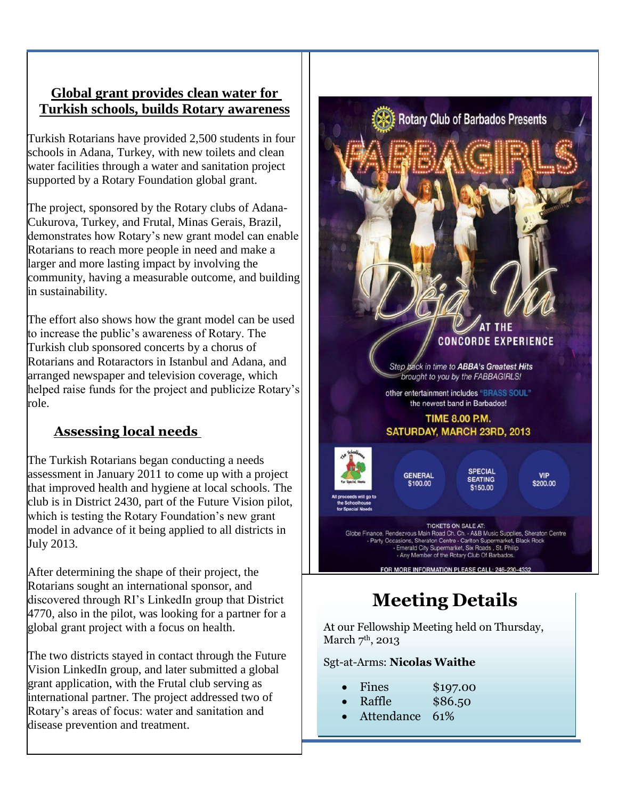#### **Global grant provides clean water for Turkish schools, builds Rotary awareness**

Turkish Rotarians have provided 2,500 students in four schools in Adana, Turkey, with new toilets and clean water facilities through a water and sanitation project supported by a Rotary Foundation global grant.

The project, sponsored by the Rotary clubs of Adana-Cukurova, Turkey, and Frutal, Minas Gerais, Brazil, demonstrates how Rotary's new grant model can enable Rotarians to reach more people in need and make a larger and more lasting impact by involving the community, having a measurable outcome, and building in sustainability.

The effort also shows how the grant model can be used to increase the public's awareness of Rotary. The Turkish club sponsored concerts by a chorus of Rotarians and Rotaractors in Istanbul and Adana, and arranged newspaper and television coverage, which helped raise funds for the project and publicize Rotary's role.

## **Assessing local needs**

The Turkish Rotarians began conducting a needs assessment in January 2011 to come up with a project that improved health and hygiene at local schools. The club is in District 2430, part of the Future Vision pilot, which is testing the Rotary Foundation's new grant model in advance of it being applied to all districts in July 2013.

After determining the shape of their project, the Rotarians sought an international sponsor, and discovered through RI's LinkedIn group that District 4770, also in the pilot, was looking for a partner for a global grant project with a focus on health.

The two districts stayed in contact through the Future Vision LinkedIn group, and later submitted a global grant application, with the Frutal club serving as international partner. The project addressed two of Rotary's areas of focus: water and sanitation and disease prevention and treatment.



**Rotary Club of Barbados Presents** 

# **Meeting Details**

At our Fellowship Meeting held on Thursday, March  $7<sup>th</sup>$ , 2013

Sgt-at-Arms: **Nicolas Waithe**

- Fines \$197.00
	- Raffle \$86.50
- Attendance 61%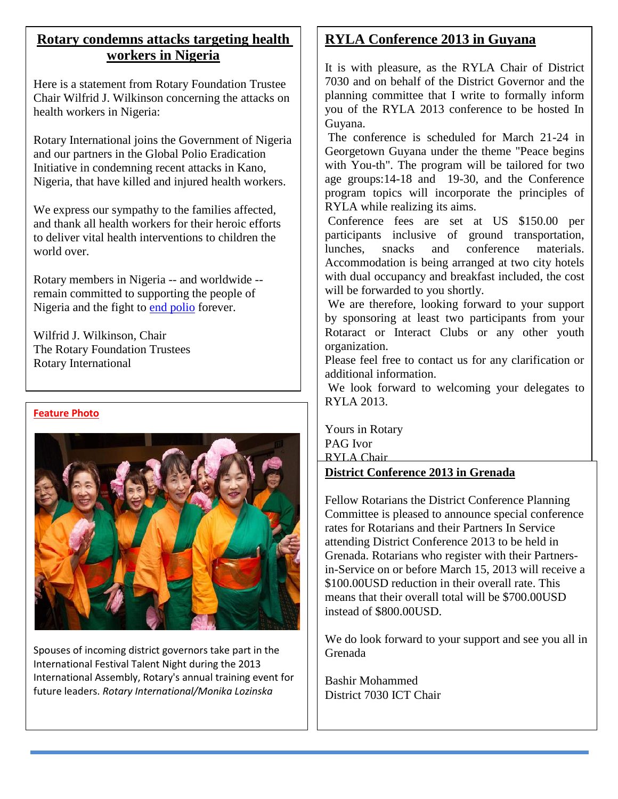## **Rotary condemns attacks targeting health workers in Nigeria**

Here is a statement from Rotary Foundation Trustee Chair Wilfrid J. Wilkinson concerning the attacks on health workers in Nigeria:

Rotary International joins the Government of Nigeria and our partners in the Global Polio Eradication Initiative in condemning recent attacks in Kano, Nigeria, that have killed and injured health workers.

We express our sympathy to the families affected, and thank all health workers for their heroic efforts to deliver vital health interventions to children the world over.

Rotary members in Nigeria -- and worldwide - remain committed to supporting the people of Nigeria and the fight to [end polio](http://www.rotary.org/en/ServiceAndFellowship/Polio/Pages/ridefault.aspx) forever.

Wilfrid J. Wilkinson, Chair The Rotary Foundation Trustees Rotary International

#### **Feature Photo**



Spouses of incoming district governors take part in the International Festival Talent Night during the 2013 International Assembly, Rotary's annual training event for future leaders. *Rotary International/Monika Lozinska*

## **RYLA Conference 2013 in Guyana**

It is with pleasure, as the RYLA Chair of District 7030 and on behalf of the District Governor and the planning committee that I write to formally inform you of the RYLA 2013 conference to be hosted In Guyana.

The conference is scheduled for March 21-24 in Georgetown Guyana under the theme "Peace begins with You-th". The program will be tailored for two age groups:14-18 and 19-30, and the Conference program topics will incorporate the principles of RYLA while realizing its aims.

Conference fees are set at US \$150.00 per participants inclusive of ground transportation, lunches, snacks and conference materials. Accommodation is being arranged at two city hotels with dual occupancy and breakfast included, the cost will be forwarded to you shortly.

We are therefore, looking forward to your support by sponsoring at least two participants from your Rotaract or Interact Clubs or any other youth organization.

Please feel free to contact us for any clarification or additional information.

We look forward to welcoming your delegates to RYLA 2013.

Yours in Rotary PAG Ivor RYLA Chair

#### **District Conference 2013 in Grenada**

Fellow Rotarians the District Conference Planning Committee is pleased to announce special conference rates for Rotarians and their Partners In Service attending District Conference 2013 to be held in Grenada. Rotarians who register with their Partnersin-Service on or before March 15, 2013 will receive a \$100.00USD reduction in their overall rate. This means that their overall total will be \$700.00USD instead of \$800.00USD.

We do look forward to your support and see you all in Grenada

Bashir Mohammed District 7030 ICT Chair